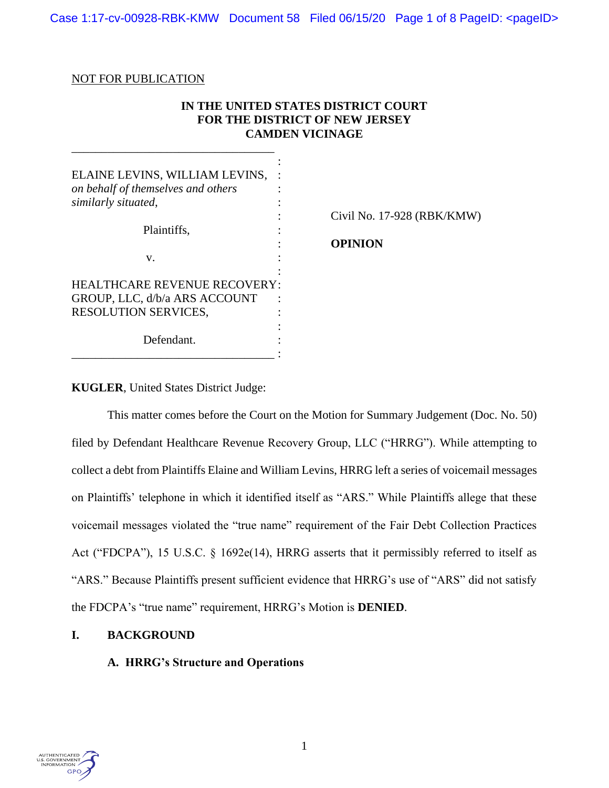Case 1:17-cv-00928-RBK-KMW Document 58 Filed 06/15/20 Page 1 of 8 PageID: <pageID>

### NOT FOR PUBLICATION

# **IN THE UNITED STATES DISTRICT COURT FOR THE DISTRICT OF NEW JERSEY CAMDEN VICINAGE**

| ELAINE LEVINS, WILLIAM LEVINS,<br>on behalf of themselves and others<br>similarly situated,  |                            |
|----------------------------------------------------------------------------------------------|----------------------------|
| Plaintiffs,                                                                                  | Civil No. 17-928 (RBK/KMW) |
| v.                                                                                           | <b>OPINION</b>             |
| <b>HEALTHCARE REVENUE RECOVERY:</b><br>GROUP, LLC, d/b/a ARS ACCOUNT<br>RESOLUTION SERVICES, |                            |
| Defendant.                                                                                   |                            |

**KUGLER**, United States District Judge:

This matter comes before the Court on the Motion for Summary Judgement (Doc. No. 50) filed by Defendant Healthcare Revenue Recovery Group, LLC ("HRRG"). While attempting to collect a debt from Plaintiffs Elaine and William Levins, HRRG left a series of voicemail messages on Plaintiffs' telephone in which it identified itself as "ARS." While Plaintiffs allege that these voicemail messages violated the "true name" requirement of the Fair Debt Collection Practices Act ("FDCPA"), 15 U.S.C. § 1692e(14), HRRG asserts that it permissibly referred to itself as "ARS." Because Plaintiffs present sufficient evidence that HRRG's use of "ARS" did not satisfy the FDCPA's "true name" requirement, HRRG's Motion is **DENIED**.

## **I. BACKGROUND**

## **A. HRRG's Structure and Operations**

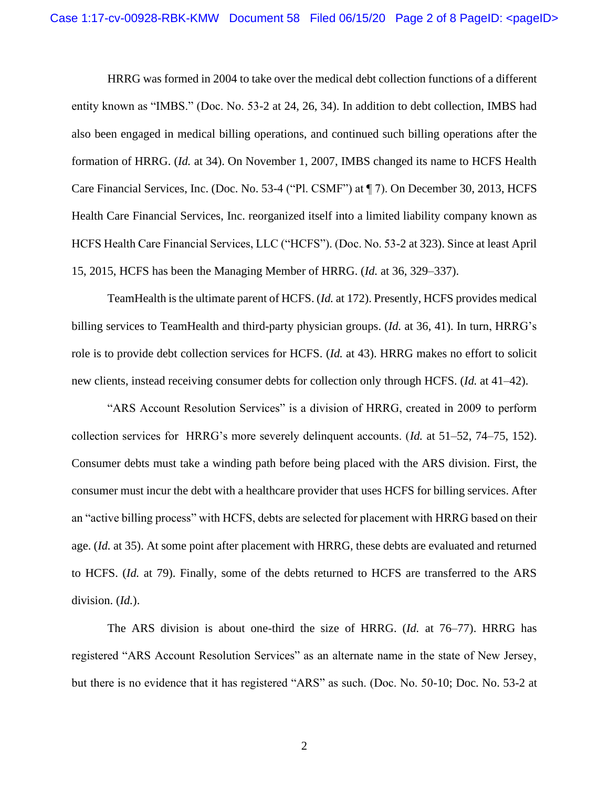HRRG was formed in 2004 to take over the medical debt collection functions of a different entity known as "IMBS." (Doc. No. 53-2 at 24, 26, 34). In addition to debt collection, IMBS had also been engaged in medical billing operations, and continued such billing operations after the formation of HRRG. (*Id.* at 34). On November 1, 2007, IMBS changed its name to HCFS Health Care Financial Services, Inc. (Doc. No. 53-4 ("Pl. CSMF") at ¶ 7). On December 30, 2013, HCFS Health Care Financial Services, Inc. reorganized itself into a limited liability company known as HCFS Health Care Financial Services, LLC ("HCFS"). (Doc. No. 53-2 at 323). Since at least April 15, 2015, HCFS has been the Managing Member of HRRG. (*Id.* at 36, 329–337).

TeamHealth is the ultimate parent of HCFS. (*Id.* at 172). Presently, HCFS provides medical billing services to TeamHealth and third-party physician groups. (*Id.* at 36, 41). In turn, HRRG's role is to provide debt collection services for HCFS. (*Id.* at 43). HRRG makes no effort to solicit new clients, instead receiving consumer debts for collection only through HCFS. (*Id.* at 41–42).

"ARS Account Resolution Services" is a division of HRRG, created in 2009 to perform collection services for HRRG's more severely delinquent accounts. (*Id.* at 51–52, 74–75, 152). Consumer debts must take a winding path before being placed with the ARS division. First, the consumer must incur the debt with a healthcare provider that uses HCFS for billing services. After an "active billing process" with HCFS, debts are selected for placement with HRRG based on their age. (*Id.* at 35). At some point after placement with HRRG, these debts are evaluated and returned to HCFS. (*Id.* at 79). Finally, some of the debts returned to HCFS are transferred to the ARS division. (*Id.*).

The ARS division is about one-third the size of HRRG. (*Id.* at 76–77). HRRG has registered "ARS Account Resolution Services" as an alternate name in the state of New Jersey, but there is no evidence that it has registered "ARS" as such. (Doc. No. 50-10; Doc. No. 53-2 at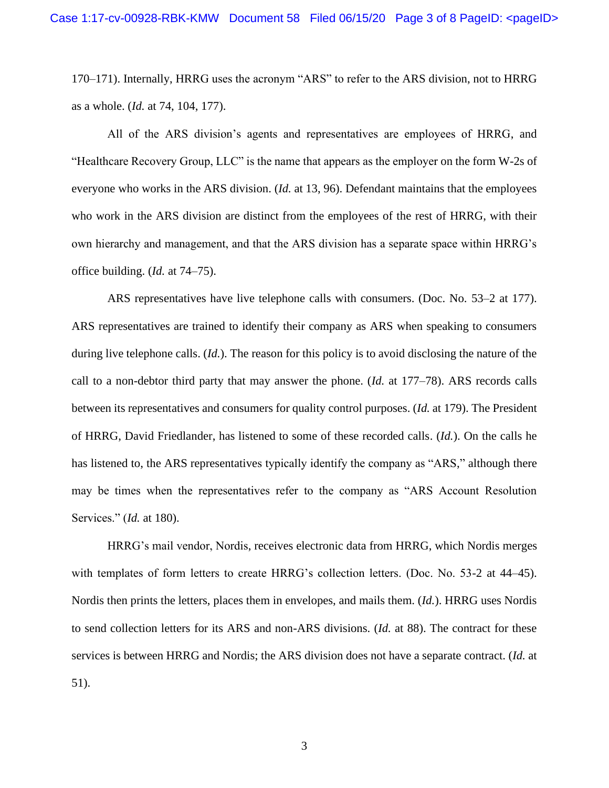170–171). Internally, HRRG uses the acronym "ARS" to refer to the ARS division, not to HRRG as a whole. (*Id.* at 74, 104, 177).

All of the ARS division's agents and representatives are employees of HRRG, and "Healthcare Recovery Group, LLC" is the name that appears as the employer on the form W-2s of everyone who works in the ARS division. (*Id.* at 13, 96). Defendant maintains that the employees who work in the ARS division are distinct from the employees of the rest of HRRG, with their own hierarchy and management, and that the ARS division has a separate space within HRRG's office building. (*Id.* at 74–75).

ARS representatives have live telephone calls with consumers. (Doc. No. 53–2 at 177). ARS representatives are trained to identify their company as ARS when speaking to consumers during live telephone calls. (*Id.*). The reason for this policy is to avoid disclosing the nature of the call to a non-debtor third party that may answer the phone. (*Id.* at 177–78). ARS records calls between its representatives and consumers for quality control purposes. (*Id.* at 179). The President of HRRG, David Friedlander, has listened to some of these recorded calls. (*Id.*). On the calls he has listened to, the ARS representatives typically identify the company as "ARS," although there may be times when the representatives refer to the company as "ARS Account Resolution Services." (*Id.* at 180).

HRRG's mail vendor, Nordis, receives electronic data from HRRG, which Nordis merges with templates of form letters to create HRRG's collection letters. (Doc. No. 53-2 at 44–45). Nordis then prints the letters, places them in envelopes, and mails them. (*Id.*). HRRG uses Nordis to send collection letters for its ARS and non-ARS divisions. (*Id.* at 88). The contract for these services is between HRRG and Nordis; the ARS division does not have a separate contract. (*Id.* at 51).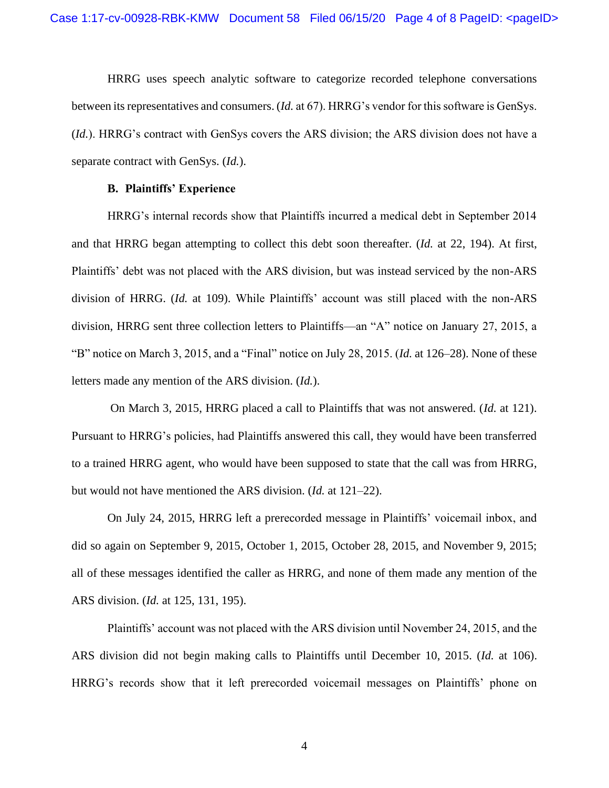HRRG uses speech analytic software to categorize recorded telephone conversations between its representatives and consumers. (*Id.* at 67). HRRG's vendor for this software is GenSys. (*Id.*). HRRG's contract with GenSys covers the ARS division; the ARS division does not have a separate contract with GenSys. (*Id.*).

#### **B. Plaintiffs' Experience**

HRRG's internal records show that Plaintiffs incurred a medical debt in September 2014 and that HRRG began attempting to collect this debt soon thereafter. (*Id.* at 22, 194). At first, Plaintiffs' debt was not placed with the ARS division, but was instead serviced by the non-ARS division of HRRG. (*Id.* at 109). While Plaintiffs' account was still placed with the non-ARS division, HRRG sent three collection letters to Plaintiffs—an "A" notice on January 27, 2015, a "B" notice on March 3, 2015, and a "Final" notice on July 28, 2015. (*Id.* at 126–28). None of these letters made any mention of the ARS division. (*Id.*).

On March 3, 2015, HRRG placed a call to Plaintiffs that was not answered. (*Id.* at 121). Pursuant to HRRG's policies, had Plaintiffs answered this call, they would have been transferred to a trained HRRG agent, who would have been supposed to state that the call was from HRRG, but would not have mentioned the ARS division. (*Id.* at 121–22).

On July 24, 2015, HRRG left a prerecorded message in Plaintiffs' voicemail inbox, and did so again on September 9, 2015, October 1, 2015, October 28, 2015, and November 9, 2015; all of these messages identified the caller as HRRG, and none of them made any mention of the ARS division. (*Id.* at 125, 131, 195).

Plaintiffs' account was not placed with the ARS division until November 24, 2015, and the ARS division did not begin making calls to Plaintiffs until December 10, 2015. (*Id.* at 106). HRRG's records show that it left prerecorded voicemail messages on Plaintiffs' phone on

4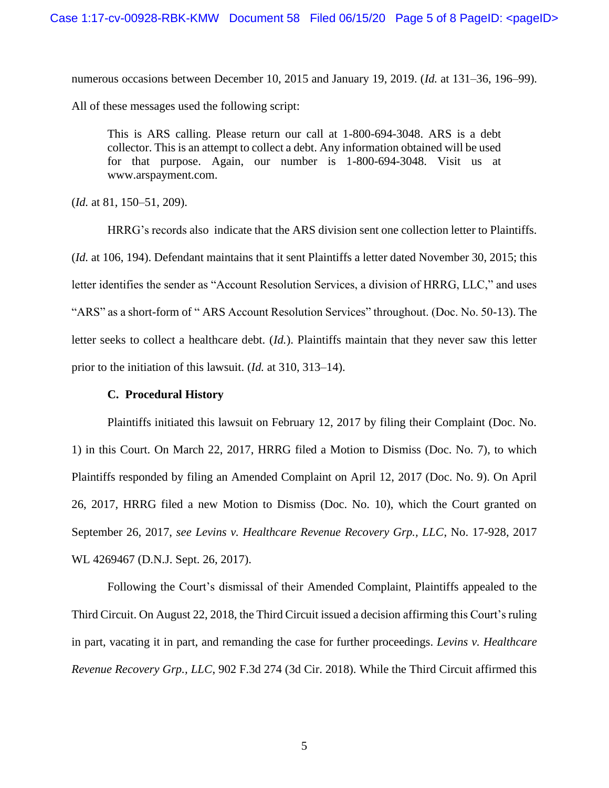numerous occasions between December 10, 2015 and January 19, 2019. (*Id.* at 131–36, 196–99). All of these messages used the following script:

This is ARS calling. Please return our call at 1-800-694-3048. ARS is a debt collector. This is an attempt to collect a debt. Any information obtained will be used for that purpose. Again, our number is 1-800-694-3048. Visit us at www.arspayment.com.

(*Id.* at 81, 150–51, 209).

HRRG's records also indicate that the ARS division sent one collection letter to Plaintiffs. (*Id.* at 106, 194). Defendant maintains that it sent Plaintiffs a letter dated November 30, 2015; this letter identifies the sender as "Account Resolution Services, a division of HRRG, LLC," and uses "ARS" as a short-form of " ARS Account Resolution Services" throughout. (Doc. No. 50-13). The letter seeks to collect a healthcare debt. (*Id.*). Plaintiffs maintain that they never saw this letter prior to the initiation of this lawsuit. (*Id.* at 310, 313–14).

## **C. Procedural History**

Plaintiffs initiated this lawsuit on February 12, 2017 by filing their Complaint (Doc. No. 1) in this Court. On March 22, 2017, HRRG filed a Motion to Dismiss (Doc. No. 7), to which Plaintiffs responded by filing an Amended Complaint on April 12, 2017 (Doc. No. 9). On April 26, 2017, HRRG filed a new Motion to Dismiss (Doc. No. 10), which the Court granted on September 26, 2017, *see Levins v. Healthcare Revenue Recovery Grp., LLC*, No. 17-928, 2017 WL 4269467 (D.N.J. Sept. 26, 2017).

Following the Court's dismissal of their Amended Complaint, Plaintiffs appealed to the Third Circuit. On August 22, 2018, the Third Circuit issued a decision affirming this Court's ruling in part, vacating it in part, and remanding the case for further proceedings. *Levins v. Healthcare Revenue Recovery Grp., LLC*, 902 F.3d 274 (3d Cir. 2018). While the Third Circuit affirmed this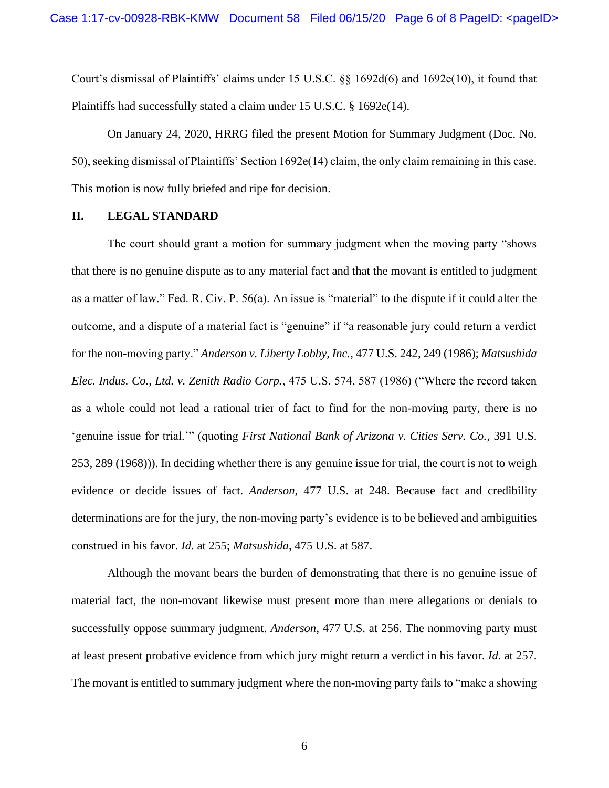Court's dismissal of Plaintiffs' claims under 15 U.S.C. §§ 1692d(6) and 1692e(10), it found that Plaintiffs had successfully stated a claim under 15 U.S.C. § 1692e(14).

On January 24, 2020, HRRG filed the present Motion for Summary Judgment (Doc. No. 50), seeking dismissal of Plaintiffs' Section 1692e(14) claim, the only claim remaining in this case. This motion is now fully briefed and ripe for decision.

#### **II. LEGAL STANDARD**

The court should grant a motion for summary judgment when the moving party "shows that there is no genuine dispute as to any material fact and that the movant is entitled to judgment as a matter of law." Fed. R. Civ. P. 56(a). An issue is "material" to the dispute if it could alter the outcome, and a dispute of a material fact is "genuine" if "a reasonable jury could return a verdict for the non-moving party." *Anderson v. Liberty Lobby, Inc.*, 477 U.S. 242, 249 (1986); *Matsushida Elec. Indus. Co., Ltd. v. Zenith Radio Corp.*, 475 U.S. 574, 587 (1986) ("Where the record taken as a whole could not lead a rational trier of fact to find for the non-moving party, there is no 'genuine issue for trial.'" (quoting *First National Bank of Arizona v. Cities Serv. Co.*, 391 U.S. 253, 289 (1968))). In deciding whether there is any genuine issue for trial, the court is not to weigh evidence or decide issues of fact. *Anderson*, 477 U.S. at 248. Because fact and credibility determinations are for the jury, the non-moving party's evidence is to be believed and ambiguities construed in his favor. *Id.* at 255; *Matsushida*, 475 U.S. at 587.

Although the movant bears the burden of demonstrating that there is no genuine issue of material fact, the non-movant likewise must present more than mere allegations or denials to successfully oppose summary judgment. *Anderson*, 477 U.S. at 256. The nonmoving party must at least present probative evidence from which jury might return a verdict in his favor. *Id.* at 257. The movant is entitled to summary judgment where the non-moving party fails to "make a showing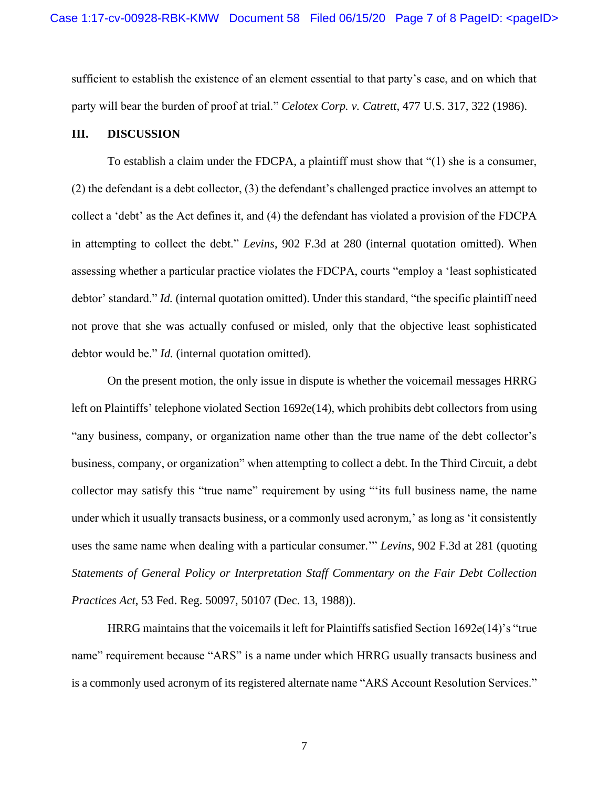sufficient to establish the existence of an element essential to that party's case, and on which that party will bear the burden of proof at trial." *Celotex Corp. v. Catrett*, 477 U.S. 317, 322 (1986).

#### **III. DISCUSSION**

To establish a claim under the FDCPA, a plaintiff must show that "(1) she is a consumer, (2) the defendant is a debt collector, (3) the defendant's challenged practice involves an attempt to collect a 'debt' as the Act defines it, and (4) the defendant has violated a provision of the FDCPA in attempting to collect the debt." *Levins*, 902 F.3d at 280 (internal quotation omitted). When assessing whether a particular practice violates the FDCPA, courts "employ a 'least sophisticated debtor' standard." *Id.* (internal quotation omitted). Under this standard, "the specific plaintiff need not prove that she was actually confused or misled, only that the objective least sophisticated debtor would be." *Id.* (internal quotation omitted).

On the present motion, the only issue in dispute is whether the voicemail messages HRRG left on Plaintiffs' telephone violated Section 1692e(14), which prohibits debt collectors from using "any business, company, or organization name other than the true name of the debt collector's business, company, or organization" when attempting to collect a debt. In the Third Circuit, a debt collector may satisfy this "true name" requirement by using "'its full business name, the name under which it usually transacts business, or a commonly used acronym,' as long as 'it consistently uses the same name when dealing with a particular consumer.'" *Levins*, 902 F.3d at 281 (quoting *Statements of General Policy or Interpretation Staff Commentary on the Fair Debt Collection Practices Act*, 53 Fed. Reg. 50097, 50107 (Dec. 13, 1988)).

HRRG maintains that the voicemails it left for Plaintiffs satisfied Section 1692e(14)'s "true name" requirement because "ARS" is a name under which HRRG usually transacts business and is a commonly used acronym of its registered alternate name "ARS Account Resolution Services."